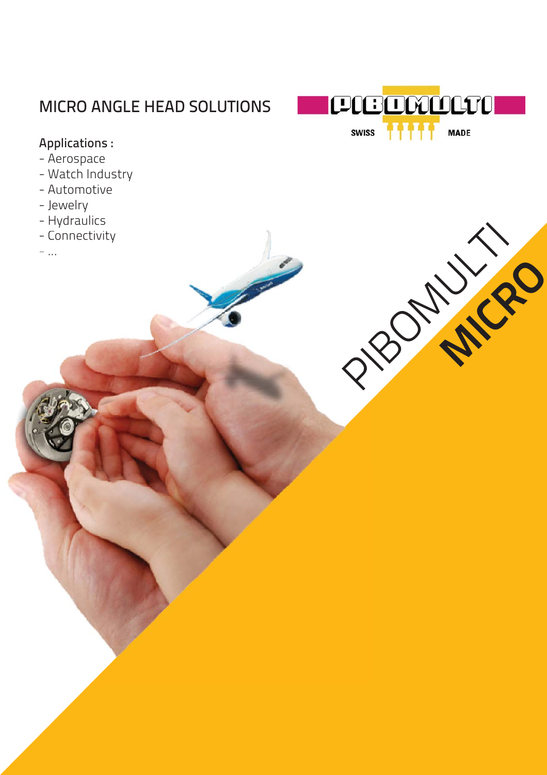### MICRO ANGLE HEAD SOLUTIONS



PIBOWN 19

**MICRO** 

#### Applications :

- Aerospace
- Watch Industry
- Automotive
- Jewelry
- Hydraulics
- Connectivity
- ...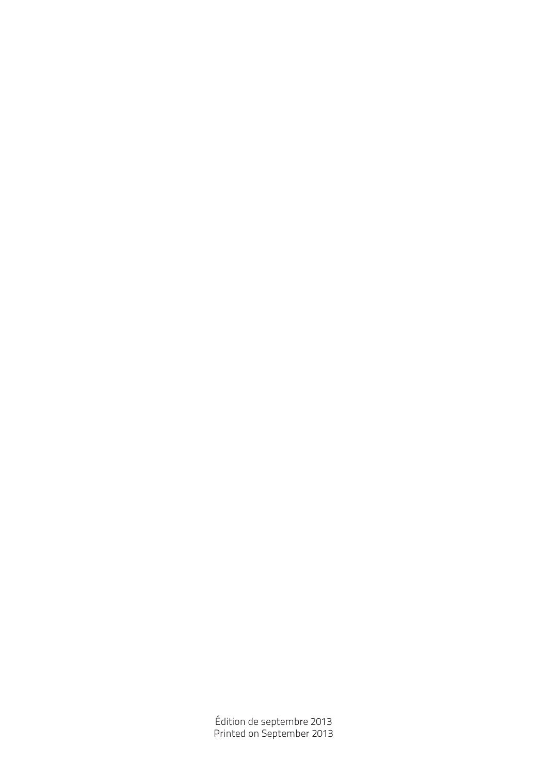Édition de septembre 2013 Printed on September 2013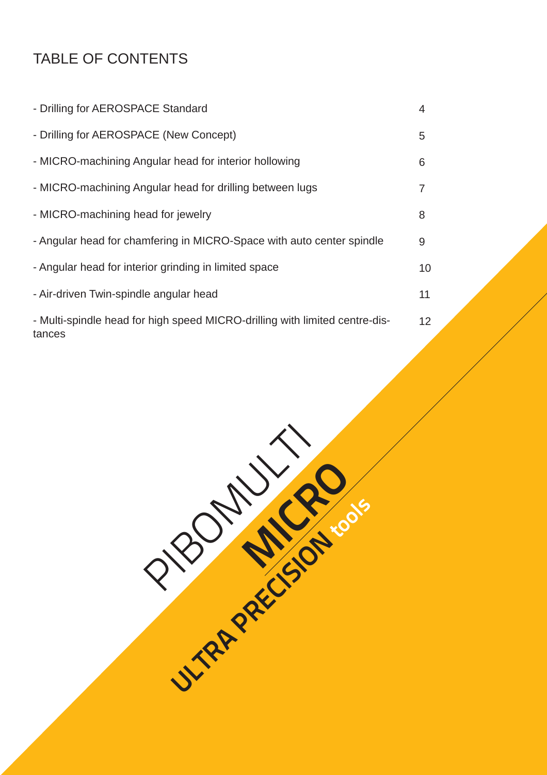### TABLE OF CONTENTS

| - Drilling for AEROSPACE Standard                                                     | 4  |
|---------------------------------------------------------------------------------------|----|
| - Drilling for AEROSPACE (New Concept)                                                | 5  |
| - MICRO-machining Angular head for interior hollowing                                 | 6  |
| - MICRO-machining Angular head for drilling between lugs                              | 7  |
| - MICRO-machining head for jewelry                                                    | 8  |
| - Angular head for chamfering in MICRO-Space with auto center spindle                 | 9  |
| - Angular head for interior grinding in limited space                                 | 10 |
| - Air-driven Twin-spindle angular head                                                | 11 |
| - Multi-spindle head for high speed MICRO-drilling with limited centre-dis-<br>tances | 12 |

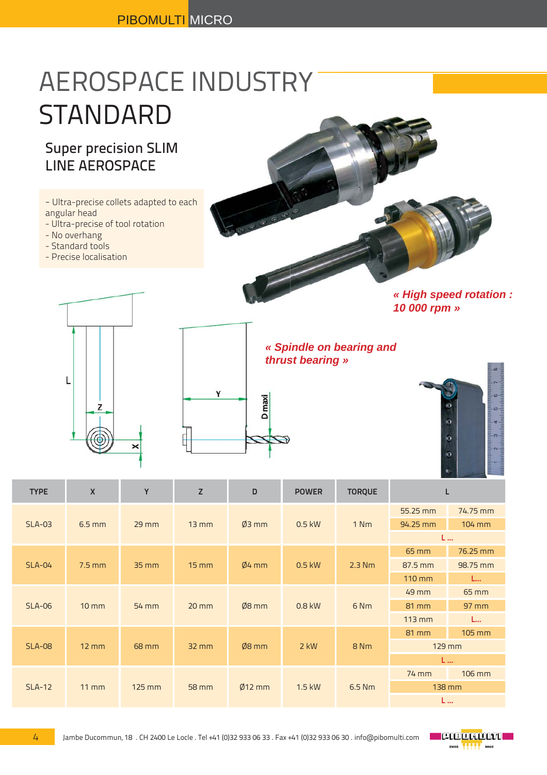# AEROSPACE INDUSTRY STANDARD

### Super precision SLIM LINE AEROSPACE

- Ultra-precise collets adapted to each angular head
- Ultra-precise of tool rotation
- No overhang
- Standard tools
- Precise localisation



*« High speed rotation : 10 000 rpm »*



*« Spindle on bearing and Spi thrust bearing » thrus*



| <b>TYPE</b>   | X                 | Y                 | Z                 | D        | <b>POWER</b> | <b>TORQUE</b>   |                  |          |
|---------------|-------------------|-------------------|-------------------|----------|--------------|-----------------|------------------|----------|
| <b>SLA-03</b> | $6.5$ mm          | $29$ mm           | $13 \, \text{mm}$ | $Ø3$ mm  | $0.5$ kW     | 1 Nm            | 55.25 mm         | 74.75 mm |
|               |                   |                   |                   |          |              |                 | 94.25 mm         | 104 mm   |
|               |                   |                   |                   |          |              |                 | L                |          |
| $SLA-04$      | $7.5$ mm          | $35 \, \text{mm}$ | $15 \, \text{mm}$ | $Ø4$ mm  | $0.5$ kW     | $2.3$ Nm        | 65 mm            | 76.25 mm |
|               |                   |                   |                   |          |              |                 | 87.5 mm          | 98.75 mm |
|               |                   |                   |                   |          |              |                 | 110 mm           | L        |
| <b>SLA-06</b> | $10 \, \text{mm}$ | 54 mm             | $20$ mm           | $Ø8$ mm  | 0.8 kW       | 6 <sub>Nm</sub> | 49 mm            | 65 mm    |
|               |                   |                   |                   |          |              |                 | 81 mm            | $97$ mm  |
|               |                   |                   |                   |          |              |                 | $113 \text{ mm}$ | L        |
| <b>SLA-08</b> | $12 \, \text{mm}$ | 68 mm             | $32$ mm           | $Ø8$ mm  | $2$ kW       | 8 <sub>Nm</sub> | 81 mm            | 105 mm   |
|               |                   |                   |                   |          |              |                 | 129 mm           |          |
|               |                   |                   |                   |          |              |                 | L                |          |
| $SLA-12$      | $11 \, \text{mm}$ | $125$ mm          | 58 mm             | $Ø12$ mm | $1.5$ kW     | 6.5 Nm          | 74 mm            | 106 mm   |
|               |                   |                   |                   |          |              |                 | 138 mm           |          |
|               |                   |                   |                   |          |              |                 | L                |          |

**D** maxi

Υ

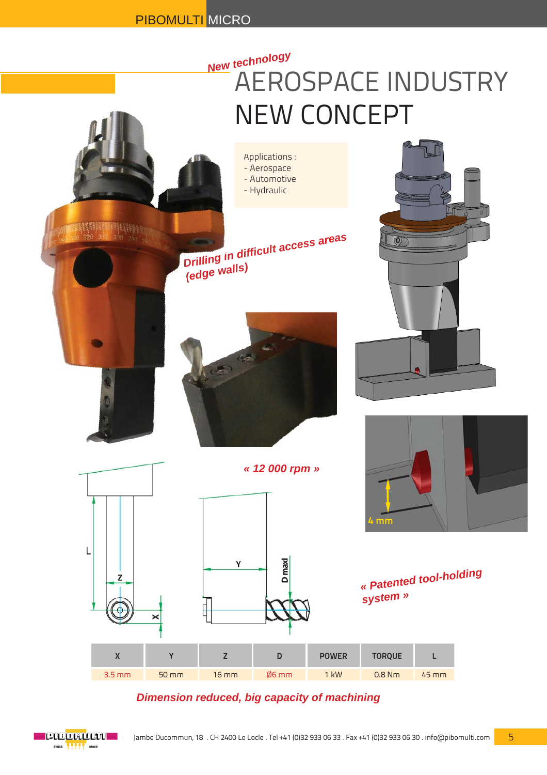## AEROSPACE INDUSTRY NEW CONCEPT *New technology*



#### *Dimension reduced, big capacity of machining*

5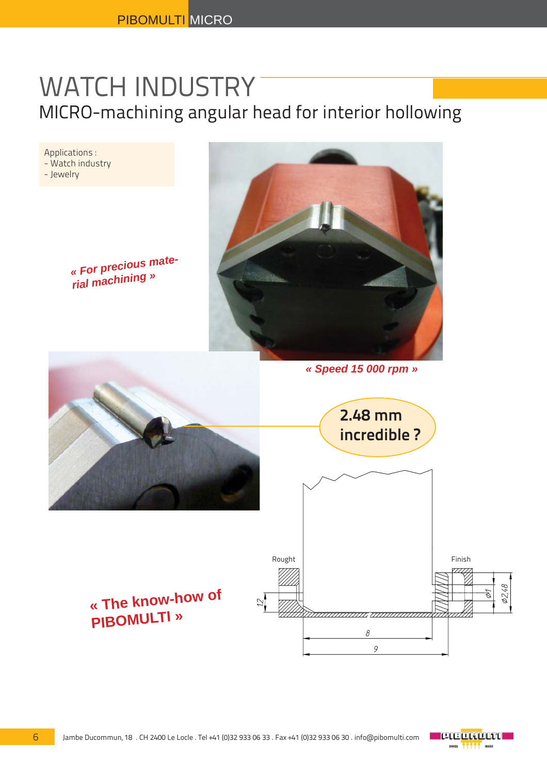## WATCH INDUSTRY MICRO-machining angular head for interior hollowing

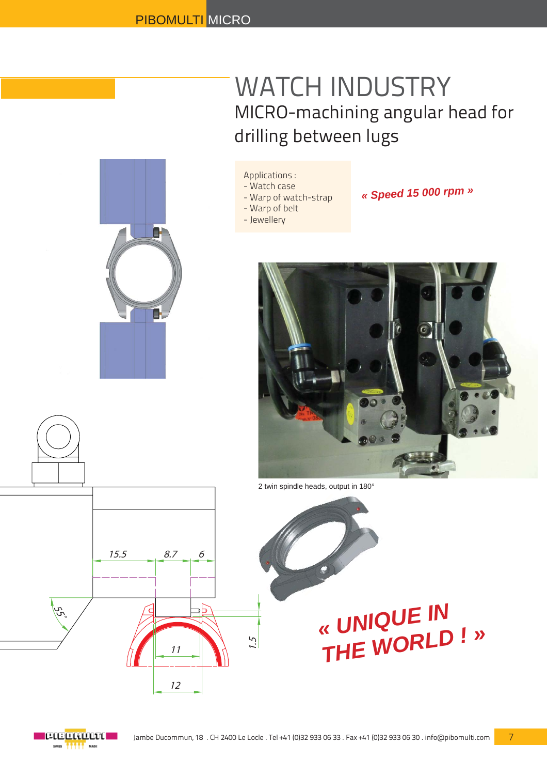## WATCH INDUSTRY MICRO-machining angular head for drilling between lugs



#### Applications :

- Watch case
- Warp of watch-strap
- Warp of belt
- Jewellery
- *« Speed 15 000 rpm »*



2 twin spindle heads, output in 180°





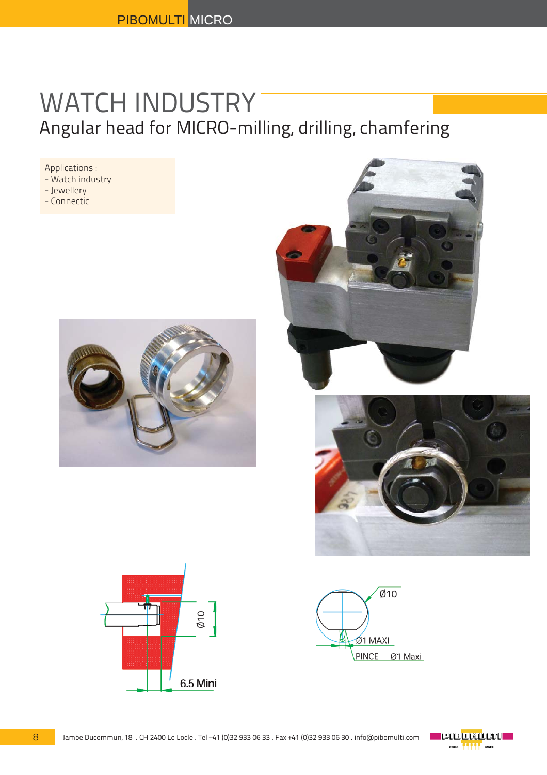## WATCH INDUSTRY Angular head for MICRO-milling, drilling, chamfering

Applications : - Watch industry - Jewellery

- Connectic









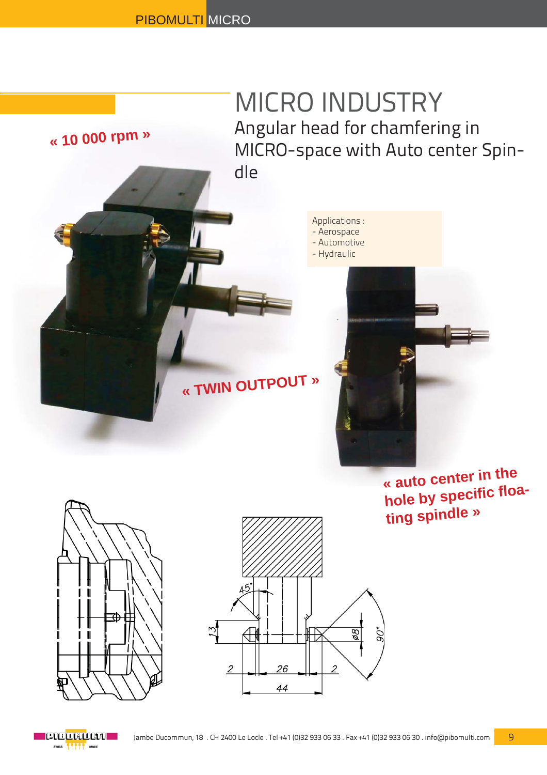## MICRO INDUSTRY Angular head for chamfering in MICRO-space with Auto center Spindle

Applications : - Aerospace - Automotive

- Hydraulic

# **« TWIN OUTPOUT »**

**« auto center in the hole by spec<sup>i</sup>fi <sup>c</sup>fl oating spindle »**



**« 10 000 rpm »**



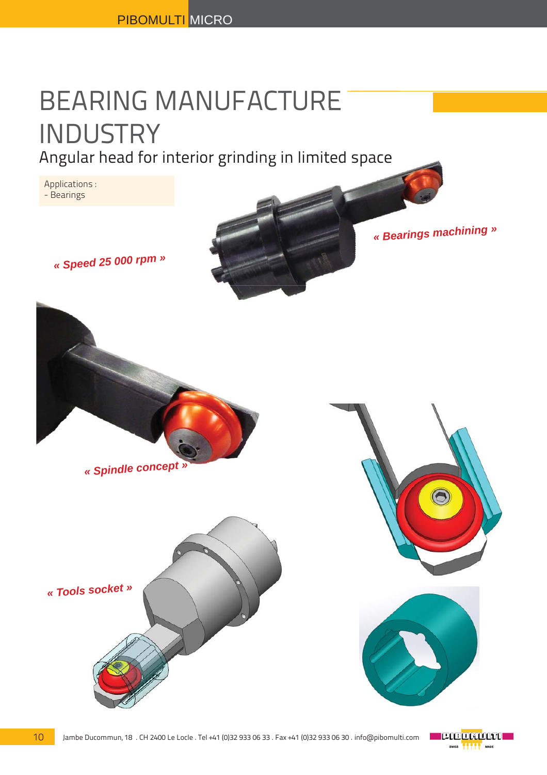# BEARING MANUFACTURE INDUSTRY

Angular head for interior grinding in limited space

Applications : - Bearings

*« Speed 25 000 rpm »*

*« Bearings machining »*



*« Spindle concept »*







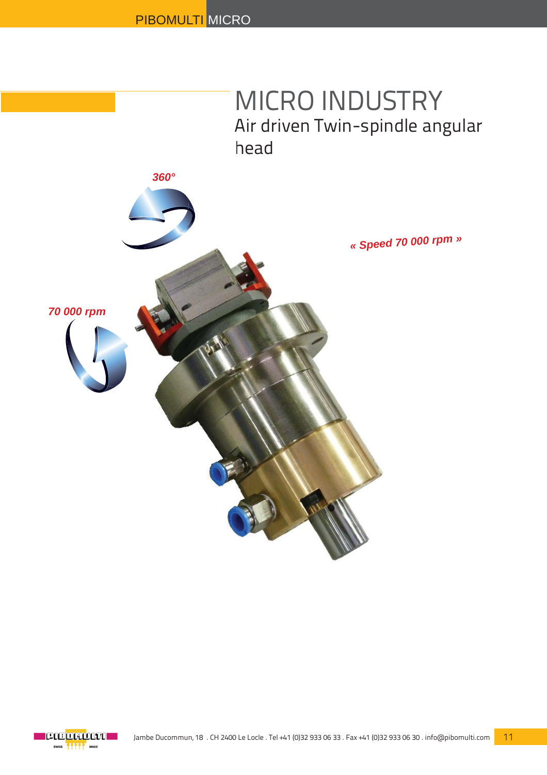

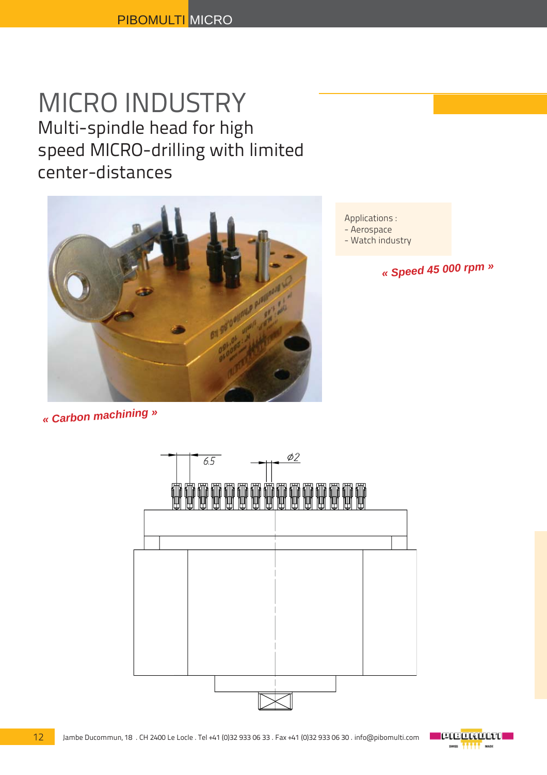## MICRO INDUSTRY Multi-spindle head for high speed MICRO-drilling with limited center-distances



Applications :

- Aerospace
- Watch industry

*« Speed 45 000 rpm »*

### *« Carbon machining »*

12